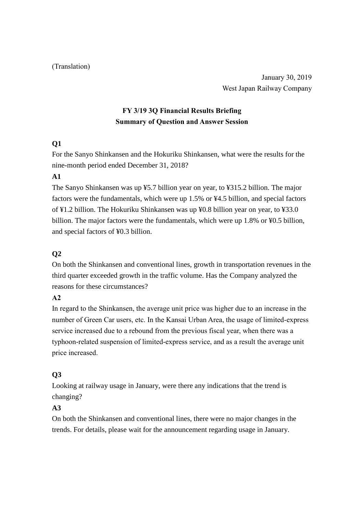#### (Translation)

January 30, 2019 West Japan Railway Company

# **FY 3/19 3Q Financial Results Briefing Summary of Question and Answer Session**

# **Q1**

For the Sanyo Shinkansen and the Hokuriku Shinkansen, what were the results for the nine-month period ended December 31, 2018?

## **A1**

The Sanyo Shinkansen was up ¥5.7 billion year on year, to ¥315.2 billion. The major factors were the fundamentals, which were up 1.5% or ¥4.5 billion, and special factors of ¥1.2 billion. The Hokuriku Shinkansen was up ¥0.8 billion year on year, to ¥33.0 billion. The major factors were the fundamentals, which were up 1.8% or ¥0.5 billion, and special factors of ¥0.3 billion.

## **Q2**

On both the Shinkansen and conventional lines, growth in transportation revenues in the third quarter exceeded growth in the traffic volume. Has the Company analyzed the reasons for these circumstances?

## **A2**

In regard to the Shinkansen, the average unit price was higher due to an increase in the number of Green Car users, etc. In the Kansai Urban Area, the usage of limited-express service increased due to a rebound from the previous fiscal year, when there was a typhoon-related suspension of limited-express service, and as a result the average unit price increased.

## **Q3**

Looking at railway usage in January, were there any indications that the trend is changing?

# **A3**

On both the Shinkansen and conventional lines, there were no major changes in the trends. For details, please wait for the announcement regarding usage in January.